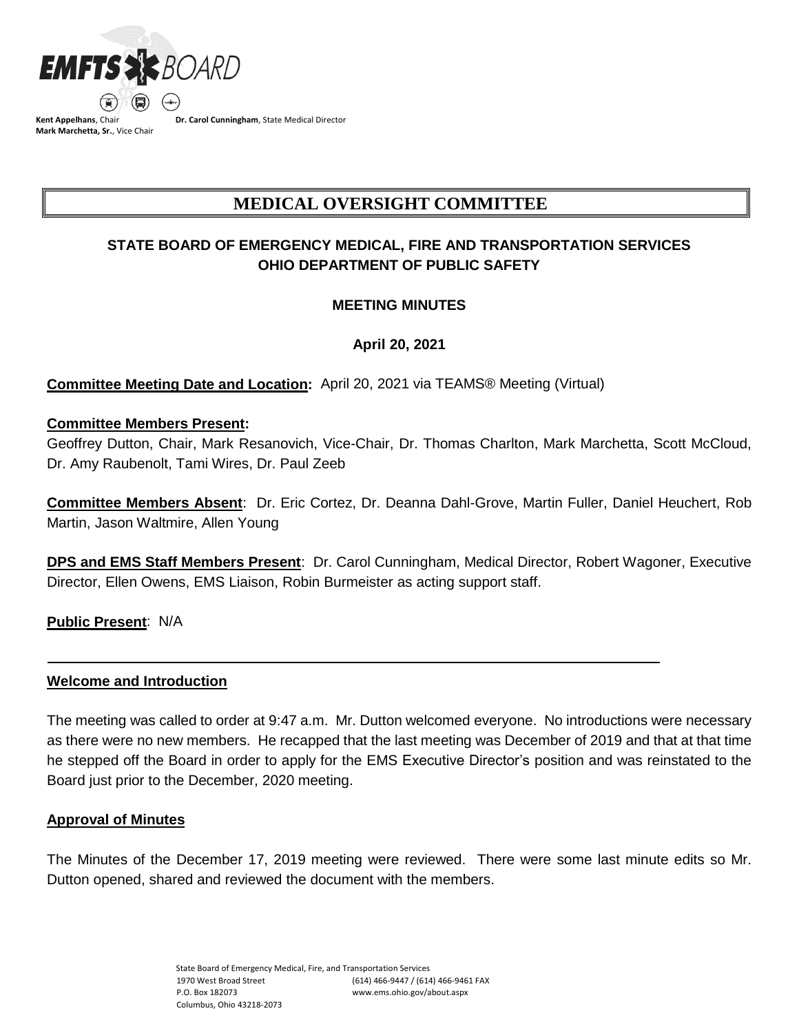

**Kent Appelhans**, Chair **Mark Marchetta, Sr.**, Vice Chair **Dr. Carol Cunningham**, State Medical Director

# **MEDICAL OVERSIGHT COMMITTEE**

# **STATE BOARD OF EMERGENCY MEDICAL, FIRE AND TRANSPORTATION SERVICES OHIO DEPARTMENT OF PUBLIC SAFETY**

# **MEETING MINUTES**

**April 20, 2021**

**Committee Meeting Date and Location:** April 20, 2021 via TEAMS® Meeting (Virtual)

## **Committee Members Present:**

Geoffrey Dutton, Chair, Mark Resanovich, Vice-Chair, Dr. Thomas Charlton, Mark Marchetta, Scott McCloud, Dr. Amy Raubenolt, Tami Wires, Dr. Paul Zeeb

**Committee Members Absent**: Dr. Eric Cortez, Dr. Deanna Dahl-Grove, Martin Fuller, Daniel Heuchert, Rob Martin, Jason Waltmire, Allen Young

**DPS and EMS Staff Members Present**: Dr. Carol Cunningham, Medical Director, Robert Wagoner, Executive Director, Ellen Owens, EMS Liaison, Robin Burmeister as acting support staff.

**Public Present**: N/A

## **Welcome and Introduction**

The meeting was called to order at 9:47 a.m. Mr. Dutton welcomed everyone. No introductions were necessary as there were no new members. He recapped that the last meeting was December of 2019 and that at that time he stepped off the Board in order to apply for the EMS Executive Director's position and was reinstated to the Board just prior to the December, 2020 meeting.

#### **Approval of Minutes**

The Minutes of the December 17, 2019 meeting were reviewed. There were some last minute edits so Mr. Dutton opened, shared and reviewed the document with the members.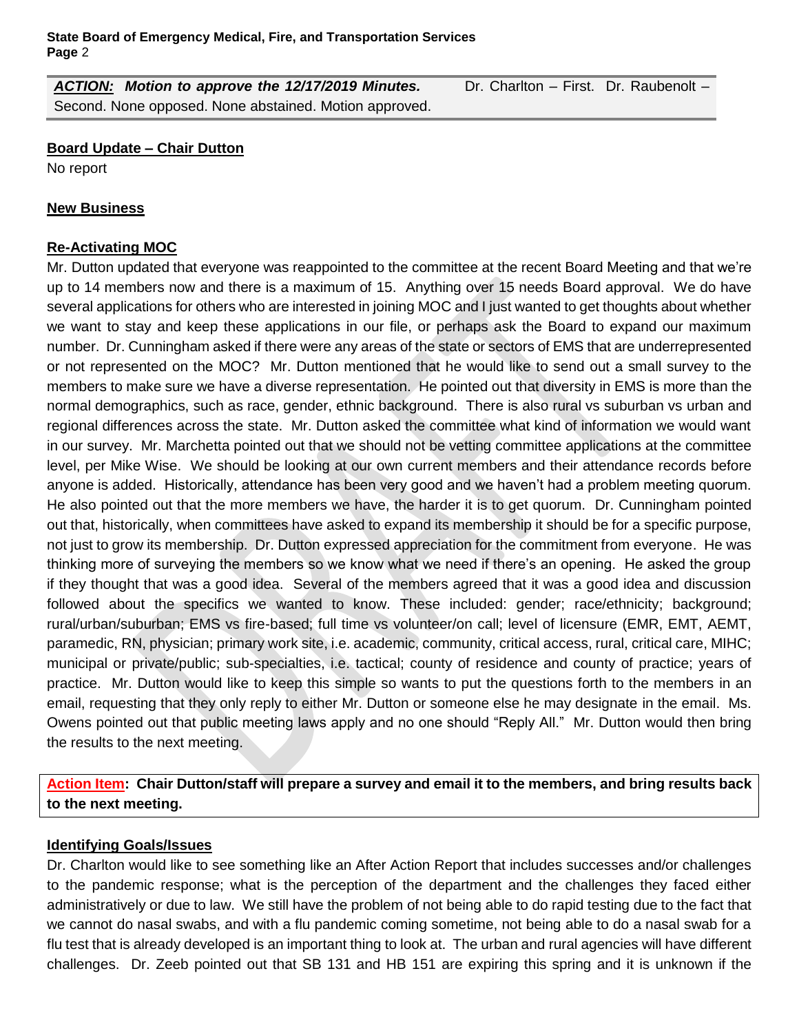*ACTION: Motion to approve the 12/17/2019 Minutes.* Dr. Charlton – First. Dr. Raubenolt – Second. None opposed. None abstained. Motion approved.

#### **Board Update – Chair Dutton**

No report

#### **New Business**

## **Re-Activating MOC**

Mr. Dutton updated that everyone was reappointed to the committee at the recent Board Meeting and that we're up to 14 members now and there is a maximum of 15. Anything over 15 needs Board approval. We do have several applications for others who are interested in joining MOC and I just wanted to get thoughts about whether we want to stay and keep these applications in our file, or perhaps ask the Board to expand our maximum number. Dr. Cunningham asked if there were any areas of the state or sectors of EMS that are underrepresented or not represented on the MOC? Mr. Dutton mentioned that he would like to send out a small survey to the members to make sure we have a diverse representation. He pointed out that diversity in EMS is more than the normal demographics, such as race, gender, ethnic background. There is also rural vs suburban vs urban and regional differences across the state. Mr. Dutton asked the committee what kind of information we would want in our survey. Mr. Marchetta pointed out that we should not be vetting committee applications at the committee level, per Mike Wise. We should be looking at our own current members and their attendance records before anyone is added. Historically, attendance has been very good and we haven't had a problem meeting quorum. He also pointed out that the more members we have, the harder it is to get quorum. Dr. Cunningham pointed out that, historically, when committees have asked to expand its membership it should be for a specific purpose, not just to grow its membership. Dr. Dutton expressed appreciation for the commitment from everyone. He was thinking more of surveying the members so we know what we need if there's an opening. He asked the group if they thought that was a good idea. Several of the members agreed that it was a good idea and discussion followed about the specifics we wanted to know. These included: gender; race/ethnicity; background; rural/urban/suburban; EMS vs fire-based; full time vs volunteer/on call; level of licensure (EMR, EMT, AEMT, paramedic, RN, physician; primary work site, i.e. academic, community, critical access, rural, critical care, MIHC; municipal or private/public; sub-specialties, i.e. tactical; county of residence and county of practice; years of practice. Mr. Dutton would like to keep this simple so wants to put the questions forth to the members in an email, requesting that they only reply to either Mr. Dutton or someone else he may designate in the email. Ms. Owens pointed out that public meeting laws apply and no one should "Reply All." Mr. Dutton would then bring the results to the next meeting.

**Action Item: Chair Dutton/staff will prepare a survey and email it to the members, and bring results back to the next meeting.**

## **Identifying Goals/Issues**

Dr. Charlton would like to see something like an After Action Report that includes successes and/or challenges to the pandemic response; what is the perception of the department and the challenges they faced either administratively or due to law. We still have the problem of not being able to do rapid testing due to the fact that we cannot do nasal swabs, and with a flu pandemic coming sometime, not being able to do a nasal swab for a flu test that is already developed is an important thing to look at. The urban and rural agencies will have different challenges. Dr. Zeeb pointed out that SB 131 and HB 151 are expiring this spring and it is unknown if the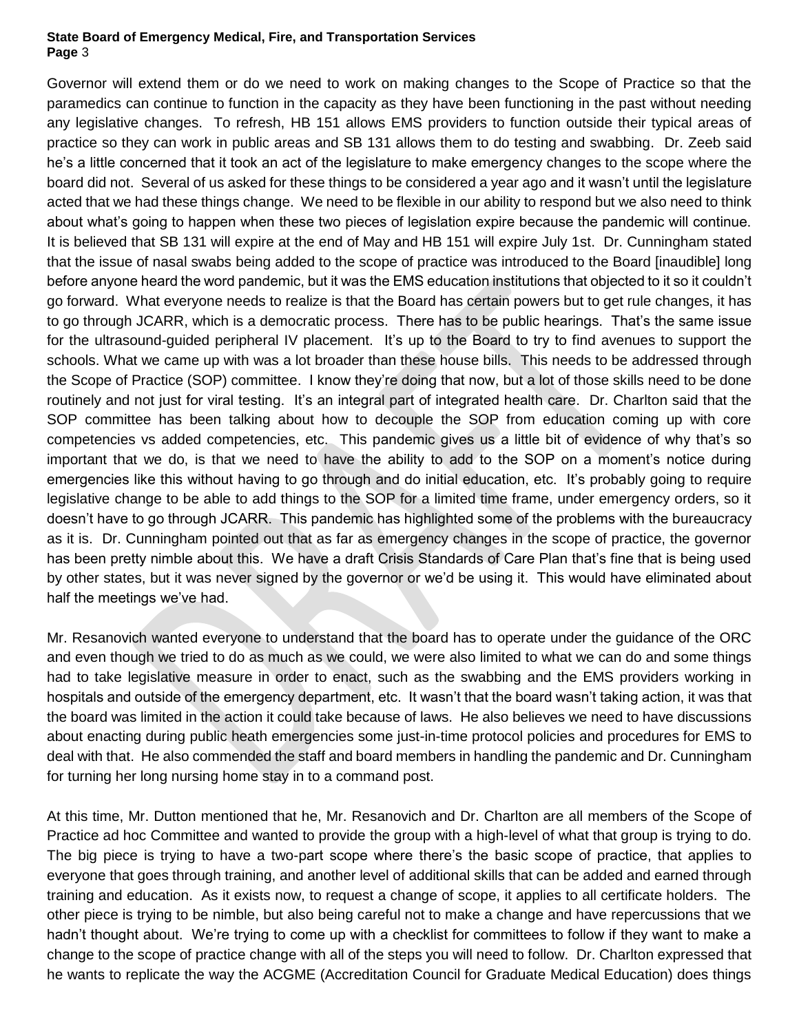#### **State Board of Emergency Medical, Fire, and Transportation Services Page** 3

Governor will extend them or do we need to work on making changes to the Scope of Practice so that the paramedics can continue to function in the capacity as they have been functioning in the past without needing any legislative changes. To refresh, HB 151 allows EMS providers to function outside their typical areas of practice so they can work in public areas and SB 131 allows them to do testing and swabbing. Dr. Zeeb said he's a little concerned that it took an act of the legislature to make emergency changes to the scope where the board did not. Several of us asked for these things to be considered a year ago and it wasn't until the legislature acted that we had these things change. We need to be flexible in our ability to respond but we also need to think about what's going to happen when these two pieces of legislation expire because the pandemic will continue. It is believed that SB 131 will expire at the end of May and HB 151 will expire July 1st. Dr. Cunningham stated that the issue of nasal swabs being added to the scope of practice was introduced to the Board [inaudible] long before anyone heard the word pandemic, but it was the EMS education institutions that objected to it so it couldn't go forward. What everyone needs to realize is that the Board has certain powers but to get rule changes, it has to go through JCARR, which is a democratic process. There has to be public hearings. That's the same issue for the ultrasound-guided peripheral IV placement. It's up to the Board to try to find avenues to support the schools. What we came up with was a lot broader than these house bills. This needs to be addressed through the Scope of Practice (SOP) committee. I know they're doing that now, but a lot of those skills need to be done routinely and not just for viral testing. It's an integral part of integrated health care. Dr. Charlton said that the SOP committee has been talking about how to decouple the SOP from education coming up with core competencies vs added competencies, etc. This pandemic gives us a little bit of evidence of why that's so important that we do, is that we need to have the ability to add to the SOP on a moment's notice during emergencies like this without having to go through and do initial education, etc. It's probably going to require legislative change to be able to add things to the SOP for a limited time frame, under emergency orders, so it doesn't have to go through JCARR. This pandemic has highlighted some of the problems with the bureaucracy as it is. Dr. Cunningham pointed out that as far as emergency changes in the scope of practice, the governor has been pretty nimble about this. We have a draft Crisis Standards of Care Plan that's fine that is being used by other states, but it was never signed by the governor or we'd be using it. This would have eliminated about half the meetings we've had.

Mr. Resanovich wanted everyone to understand that the board has to operate under the guidance of the ORC and even though we tried to do as much as we could, we were also limited to what we can do and some things had to take legislative measure in order to enact, such as the swabbing and the EMS providers working in hospitals and outside of the emergency department, etc. It wasn't that the board wasn't taking action, it was that the board was limited in the action it could take because of laws. He also believes we need to have discussions about enacting during public heath emergencies some just-in-time protocol policies and procedures for EMS to deal with that. He also commended the staff and board members in handling the pandemic and Dr. Cunningham for turning her long nursing home stay in to a command post.

At this time, Mr. Dutton mentioned that he, Mr. Resanovich and Dr. Charlton are all members of the Scope of Practice ad hoc Committee and wanted to provide the group with a high-level of what that group is trying to do. The big piece is trying to have a two-part scope where there's the basic scope of practice, that applies to everyone that goes through training, and another level of additional skills that can be added and earned through training and education. As it exists now, to request a change of scope, it applies to all certificate holders. The other piece is trying to be nimble, but also being careful not to make a change and have repercussions that we hadn't thought about. We're trying to come up with a checklist for committees to follow if they want to make a change to the scope of practice change with all of the steps you will need to follow. Dr. Charlton expressed that he wants to replicate the way the ACGME (Accreditation Council for Graduate Medical Education) does things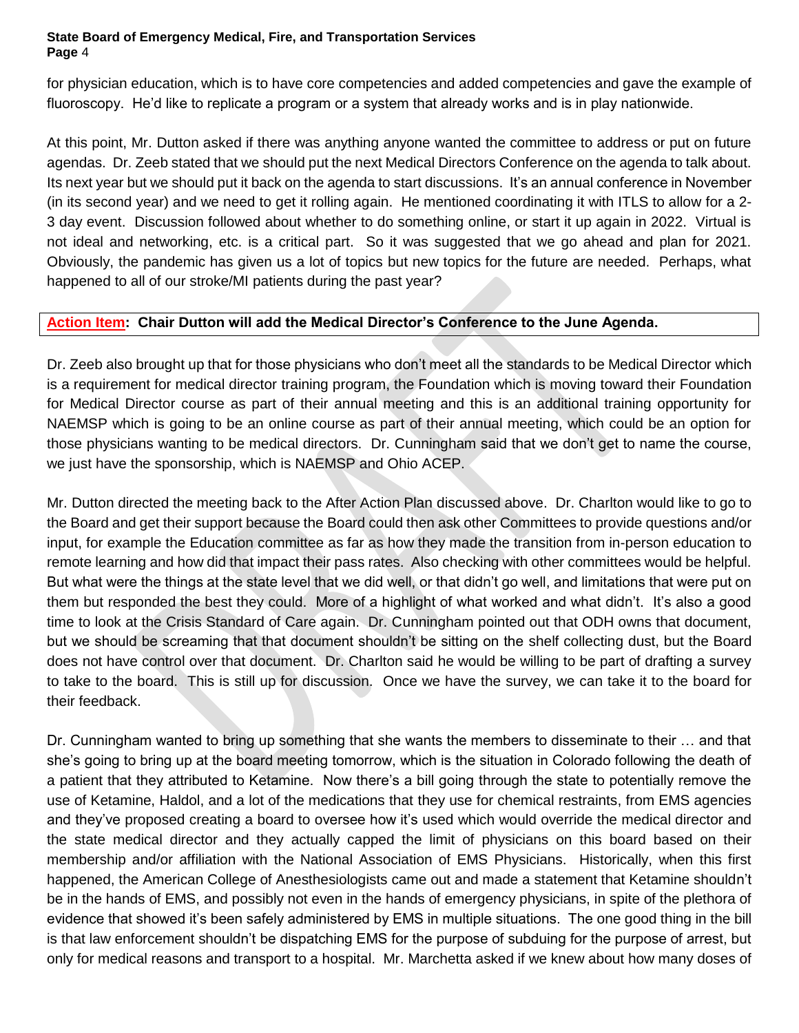#### **State Board of Emergency Medical, Fire, and Transportation Services Page** 4

for physician education, which is to have core competencies and added competencies and gave the example of fluoroscopy. He'd like to replicate a program or a system that already works and is in play nationwide.

At this point, Mr. Dutton asked if there was anything anyone wanted the committee to address or put on future agendas. Dr. Zeeb stated that we should put the next Medical Directors Conference on the agenda to talk about. Its next year but we should put it back on the agenda to start discussions. It's an annual conference in November (in its second year) and we need to get it rolling again. He mentioned coordinating it with ITLS to allow for a 2- 3 day event. Discussion followed about whether to do something online, or start it up again in 2022. Virtual is not ideal and networking, etc. is a critical part. So it was suggested that we go ahead and plan for 2021. Obviously, the pandemic has given us a lot of topics but new topics for the future are needed. Perhaps, what happened to all of our stroke/MI patients during the past year?

# **Action Item: Chair Dutton will add the Medical Director's Conference to the June Agenda.**

Dr. Zeeb also brought up that for those physicians who don't meet all the standards to be Medical Director which is a requirement for medical director training program, the Foundation which is moving toward their Foundation for Medical Director course as part of their annual meeting and this is an additional training opportunity for NAEMSP which is going to be an online course as part of their annual meeting, which could be an option for those physicians wanting to be medical directors. Dr. Cunningham said that we don't get to name the course, we just have the sponsorship, which is NAEMSP and Ohio ACEP.

Mr. Dutton directed the meeting back to the After Action Plan discussed above. Dr. Charlton would like to go to the Board and get their support because the Board could then ask other Committees to provide questions and/or input, for example the Education committee as far as how they made the transition from in-person education to remote learning and how did that impact their pass rates. Also checking with other committees would be helpful. But what were the things at the state level that we did well, or that didn't go well, and limitations that were put on them but responded the best they could. More of a highlight of what worked and what didn't. It's also a good time to look at the Crisis Standard of Care again. Dr. Cunningham pointed out that ODH owns that document, but we should be screaming that that document shouldn't be sitting on the shelf collecting dust, but the Board does not have control over that document. Dr. Charlton said he would be willing to be part of drafting a survey to take to the board. This is still up for discussion. Once we have the survey, we can take it to the board for their feedback.

Dr. Cunningham wanted to bring up something that she wants the members to disseminate to their … and that she's going to bring up at the board meeting tomorrow, which is the situation in Colorado following the death of a patient that they attributed to Ketamine. Now there's a bill going through the state to potentially remove the use of Ketamine, Haldol, and a lot of the medications that they use for chemical restraints, from EMS agencies and they've proposed creating a board to oversee how it's used which would override the medical director and the state medical director and they actually capped the limit of physicians on this board based on their membership and/or affiliation with the National Association of EMS Physicians. Historically, when this first happened, the American College of Anesthesiologists came out and made a statement that Ketamine shouldn't be in the hands of EMS, and possibly not even in the hands of emergency physicians, in spite of the plethora of evidence that showed it's been safely administered by EMS in multiple situations. The one good thing in the bill is that law enforcement shouldn't be dispatching EMS for the purpose of subduing for the purpose of arrest, but only for medical reasons and transport to a hospital. Mr. Marchetta asked if we knew about how many doses of